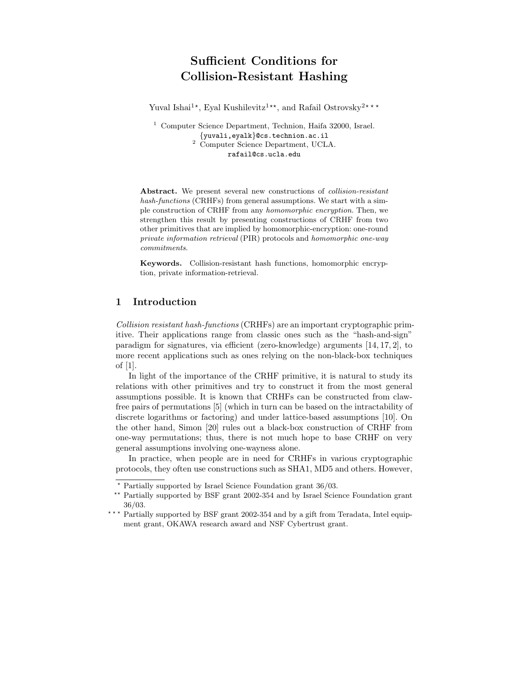# Sufficient Conditions for Collision-Resistant Hashing

Yuval Ishai<sup>1\*</sup>, Eyal Kushilevitz<sup>1\*\*</sup>, and Rafail Ostrovsky<sup>2\*\*\*</sup>

<sup>1</sup> Computer Science Department, Technion, Haifa 32000, Israel. {yuvali,eyalk}@cs.technion.ac.il <sup>2</sup> Computer Science Department, UCLA. rafail@cs.ucla.edu

Abstract. We present several new constructions of *collision-resistant* hash-functions (CRHFs) from general assumptions. We start with a simple construction of CRHF from any homomorphic encryption. Then, we strengthen this result by presenting constructions of CRHF from two other primitives that are implied by homomorphic-encryption: one-round private information retrieval (PIR) protocols and homomorphic one-way commitments.

Keywords. Collision-resistant hash functions, homomorphic encryption, private information-retrieval.

## 1 Introduction

Collision resistant hash-functions (CRHFs) are an important cryptographic primitive. Their applications range from classic ones such as the "hash-and-sign" paradigm for signatures, via efficient (zero-knowledge) arguments [14, 17, 2], to more recent applications such as ones relying on the non-black-box techniques of [1].

In light of the importance of the CRHF primitive, it is natural to study its relations with other primitives and try to construct it from the most general assumptions possible. It is known that CRHFs can be constructed from clawfree pairs of permutations [5] (which in turn can be based on the intractability of discrete logarithms or factoring) and under lattice-based assumptions [10]. On the other hand, Simon [20] rules out a black-box construction of CRHF from one-way permutations; thus, there is not much hope to base CRHF on very general assumptions involving one-wayness alone.

In practice, when people are in need for CRHFs in various cryptographic protocols, they often use constructions such as SHA1, MD5 and others. However,

<sup>?</sup> Partially supported by Israel Science Foundation grant 36/03.

Partially supported by BSF grant 2002-354 and by Israel Science Foundation grant 36/03.

<sup>\*\*\*</sup> Partially supported by BSF grant 2002-354 and by a gift from Teradata, Intel equipment grant, OKAWA research award and NSF Cybertrust grant.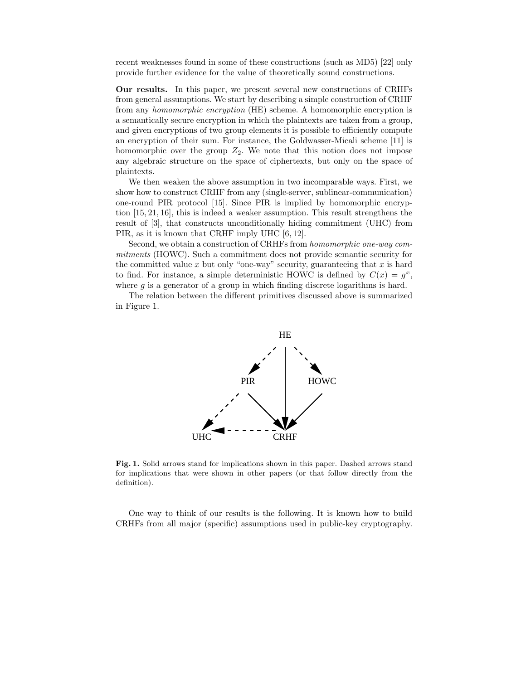recent weaknesses found in some of these constructions (such as MD5) [22] only provide further evidence for the value of theoretically sound constructions.

Our results. In this paper, we present several new constructions of CRHFs from general assumptions. We start by describing a simple construction of CRHF from any homomorphic encryption (HE) scheme. A homomorphic encryption is a semantically secure encryption in which the plaintexts are taken from a group, and given encryptions of two group elements it is possible to efficiently compute an encryption of their sum. For instance, the Goldwasser-Micali scheme [11] is homomorphic over the group  $Z_2$ . We note that this notion does not impose any algebraic structure on the space of ciphertexts, but only on the space of plaintexts.

We then weaken the above assumption in two incomparable ways. First, we show how to construct CRHF from any (single-server, sublinear-communication) one-round PIR protocol [15]. Since PIR is implied by homomorphic encryption [15, 21, 16], this is indeed a weaker assumption. This result strengthens the result of [3], that constructs unconditionally hiding commitment (UHC) from PIR, as it is known that CRHF imply UHC [6, 12].

Second, we obtain a construction of CRHFs from homomorphic one-way commitments (HOWC). Such a commitment does not provide semantic security for the committed value x but only "one-way" security, guaranteeing that  $x$  is hard to find. For instance, a simple deterministic HOWC is defined by  $C(x) = g^x$ , where  $q$  is a generator of a group in which finding discrete logarithms is hard.

The relation between the different primitives discussed above is summarized in Figure 1.



Fig. 1. Solid arrows stand for implications shown in this paper. Dashed arrows stand for implications that were shown in other papers (or that follow directly from the definition).

One way to think of our results is the following. It is known how to build CRHFs from all major (specific) assumptions used in public-key cryptography.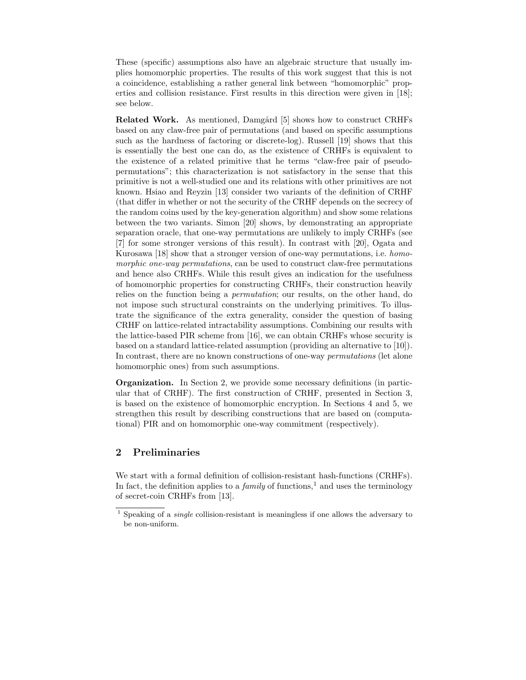These (specific) assumptions also have an algebraic structure that usually implies homomorphic properties. The results of this work suggest that this is not a coincidence, establishing a rather general link between "homomorphic" properties and collision resistance. First results in this direction were given in [18]; see below.

**Related Work.** As mentioned, Damgård [5] shows how to construct CRHFs based on any claw-free pair of permutations (and based on specific assumptions such as the hardness of factoring or discrete-log). Russell [19] shows that this is essentially the best one can do, as the existence of CRHFs is equivalent to the existence of a related primitive that he terms "claw-free pair of pseudopermutations"; this characterization is not satisfactory in the sense that this primitive is not a well-studied one and its relations with other primitives are not known. Hsiao and Reyzin [13] consider two variants of the definition of CRHF (that differ in whether or not the security of the CRHF depends on the secrecy of the random coins used by the key-generation algorithm) and show some relations between the two variants. Simon [20] shows, by demonstrating an appropriate separation oracle, that one-way permutations are unlikely to imply CRHFs (see [7] for some stronger versions of this result). In contrast with [20], Ogata and Kurosawa [18] show that a stronger version of one-way permutations, i.e. homomorphic one-way permutations, can be used to construct claw-free permutations and hence also CRHFs. While this result gives an indication for the usefulness of homomorphic properties for constructing CRHFs, their construction heavily relies on the function being a permutation; our results, on the other hand, do not impose such structural constraints on the underlying primitives. To illustrate the significance of the extra generality, consider the question of basing CRHF on lattice-related intractability assumptions. Combining our results with the lattice-based PIR scheme from [16], we can obtain CRHFs whose security is based on a standard lattice-related assumption (providing an alternative to [10]). In contrast, there are no known constructions of one-way permutations (let alone homomorphic ones) from such assumptions.

Organization. In Section 2, we provide some necessary definitions (in particular that of CRHF). The first construction of CRHF, presented in Section 3, is based on the existence of homomorphic encryption. In Sections 4 and 5, we strengthen this result by describing constructions that are based on (computational) PIR and on homomorphic one-way commitment (respectively).

#### 2 Preliminaries

We start with a formal definition of collision-resistant hash-functions (CRHFs). In fact, the definition applies to a  $family$  of functions,<sup>1</sup> and uses the terminology of secret-coin CRHFs from [13].

 $1$  Speaking of a *single* collision-resistant is meaningless if one allows the adversary to be non-uniform.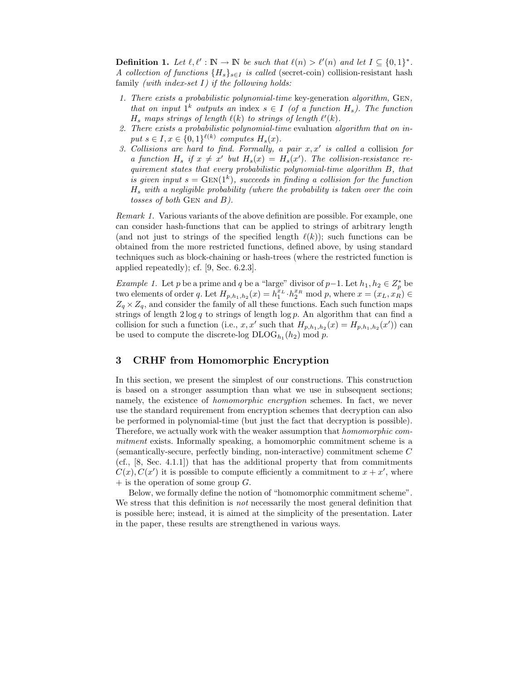**Definition 1.** Let  $\ell, \ell' : \mathbb{N} \to \mathbb{N}$  be such that  $\ell(n) > \ell'(n)$  and let  $I \subseteq \{0, 1\}^*$ . A collection of functions  ${H_s}_{s \in I}$  is called (secret-coin) collision-resistant hash family *(with index-set I)* if the following holds:

- 1. There exists a probabilistic polynomial-time key-generation algorithm, Gen, that on input  $1^k$  outputs an index  $s \in I$  (of a function  $H_s$ ). The function  $H_s$  maps strings of length  $\ell(k)$  to strings of length  $\ell'(k)$ .
- 2. There exists a probabilistic polynomial-time evaluation algorithm that on input  $s \in I, x \in \{0,1\}^{\ell(k)}$  computes  $H_s(x)$ .
- 3. Collisions are hard to find. Formally, a pair  $x, x'$  is called a collision for a function  $H_s$  if  $x \neq x'$  but  $H_s(x) = H_s(x')$ . The collision-resistance requirement states that every probabilistic polynomial-time algorithm B, that is given input  $s = \text{GEN}(1^k)$ , succeeds in finding a collision for the function  $H_s$  with a negligible probability (where the probability is taken over the coin tosses of both Gen and B).

Remark 1. Various variants of the above definition are possible. For example, one can consider hash-functions that can be applied to strings of arbitrary length (and not just to strings of the specified length  $\ell(k)$ ); such functions can be obtained from the more restricted functions, defined above, by using standard techniques such as block-chaining or hash-trees (where the restricted function is applied repeatedly); cf. [9, Sec. 6.2.3].

*Example 1.* Let p be a prime and q be a "large" divisor of  $p-1$ . Let  $h_1, h_2 \in Z_p^*$  be two elements of order q. Let  $H_{p,h_1,h_2}(x) = h_1^{x_L} \cdot h_2^{x_R} \mod p$ , where  $x = (x_L, x_R) \in$  $Z_q \times Z_q$ , and consider the family of all these functions. Each such function maps strings of length  $2 \log q$  to strings of length  $\log p$ . An algorithm that can find a collision for such a function (i.e., x, x' such that  $H_{p,h_1,h_2}(x) = H_{p,h_1,h_2}(x')$ ) can be used to compute the discrete-log  $\text{DLOG}_{h_1}(h_2) \text{ mod } p$ .

#### 3 CRHF from Homomorphic Encryption

In this section, we present the simplest of our constructions. This construction is based on a stronger assumption than what we use in subsequent sections; namely, the existence of *homomorphic encryption* schemes. In fact, we never use the standard requirement from encryption schemes that decryption can also be performed in polynomial-time (but just the fact that decryption is possible). Therefore, we actually work with the weaker assumption that homomorphic commitment exists. Informally speaking, a homomorphic commitment scheme is a (semantically-secure, perfectly binding, non-interactive) commitment scheme C (cf., [8, Sec. 4.1.1]) that has the additional property that from commitments  $C(x)$ ,  $C(x')$  it is possible to compute efficiently a commitment to  $x + x'$ , where  $+$  is the operation of some group G.

Below, we formally define the notion of "homomorphic commitment scheme". We stress that this definition is *not* necessarily the most general definition that is possible here; instead, it is aimed at the simplicity of the presentation. Later in the paper, these results are strengthened in various ways.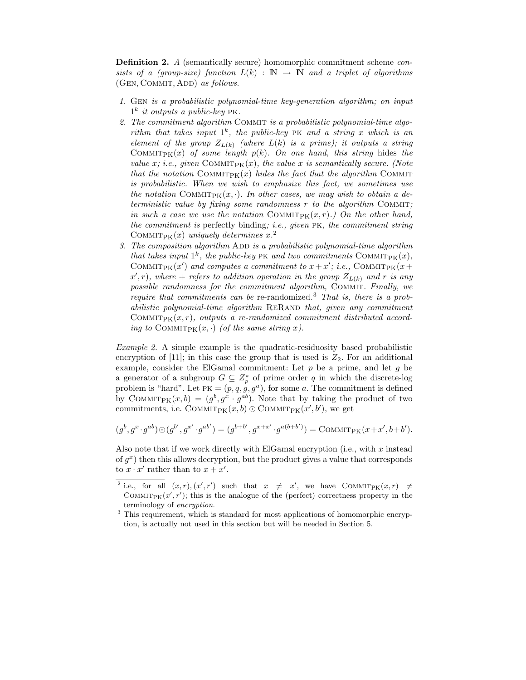Definition 2. A (semantically secure) homomorphic commitment scheme consists of a (group-size) function  $L(k) : \mathbb{N} \to \mathbb{N}$  and a triplet of algorithms (GEN, COMMIT, ADD) as follows.

- 1. Gen is a probabilistic polynomial-time key-generation algorithm; on input  $1^k$  it outputs a public-key PK.
- 2. The commitment algorithm COMMIT is a probabilistic polynomial-time algorithm that takes input  $1^k$ , the public-key PK and a string x which is an element of the group  $Z_{L(k)}$  (where  $L(k)$  is a prime); it outputs a string COMMIT<sub>PK</sub> $(x)$  of some length  $p(k)$ . On one hand, this string hides the value x; i.e., given COMMITPK $(x)$ , the value x is semantically secure. (Note that the notation COMMITPK $(x)$  hides the fact that the algorithm COMMIT is probabilistic. When we wish to emphasize this fact, we sometimes use the notation COMMITPK $(x, \cdot)$ . In other cases, we may wish to obtain a deterministic value by fixing some randomness  $r$  to the algorithm COMMIT; in such a case we use the notation COMMIT<sub>PK</sub> $(x, r)$ .) On the other hand, the commitment is perfectly binding; i.e., given pk, the commitment string COMMIT<sub>PK</sub> $(x)$  uniquely determines  $x$ <sup>2</sup>
- 3. The composition algorithm  $ADD$  is a probabilistic polynomial-time algorithm that takes input  $1^k$ , the public-key PK and two commitments COMMIT<sub>PK</sub> $(x)$ , COMMIT<sub>PK</sub> $(x')$  and computes a commitment to  $x + x'$ ; i.e., COMMIT<sub>PK</sub> $(x +$  $(x', r)$ , where  $+$  refers to addition operation in the group  $Z_{L(k)}$  and r is any possible randomness for the commitment algorithm, COMMIT. Finally, we require that commitments can be re-randomized.<sup>3</sup> That is, there is a probabilistic polynomial-time algorithm RERAND that, given any commitment COMMIT<sub>PK</sub> $(x, r)$ , outputs a re-randomized commitment distributed according to COMMIT<sub>PK</sub> $(x, \cdot)$  (of the same string x).

Example 2. A simple example is the quadratic-residuosity based probabilistic encryption of [11]; in this case the group that is used is  $Z_2$ . For an additional example, consider the ElGamal commitment: Let  $p$  be a prime, and let  $g$  be a generator of a subgroup  $G \subseteq Z_p^*$  of prime order q in which the discrete-log problem is "hard". Let PK =  $(p, q, q, g, g^a)$ , for some a. The commitment is defined by COMMIT<sub>PK</sub> $(x, b) = (g^b, g^x \cdot g^{ab})$ . Note that by taking the product of two commitments, i.e.  $\text{Comm}_{PK}(x, b) \odot \text{Comm}_{PK}(x', b')$ , we get

$$
(g^{b}, g^{x} \cdot g^{ab}) \odot (g^{b'}, g^{x'} \cdot g^{ab'}) = (g^{b+b'}, g^{x+x'} \cdot g^{a(b+b')}) = \text{Comm}_{\text{PK}}(x+x', b+b').
$$

Also note that if we work directly with ElGamal encryption (i.e., with  $x$  instead of  $g^x$ ) then this allows decryption, but the product gives a value that corresponds to  $x \cdot x'$  rather than to  $x + x'$ .

<sup>&</sup>lt;sup>2</sup> i.e., for all  $(x, r), (x', r')$  such that  $x \neq x'$ , we have COMMITPK $(x, r) \neq$ COMMITPK $(x', r')$ ; this is the analogue of the (perfect) correctness property in the terminology of encryption.

<sup>&</sup>lt;sup>3</sup> This requirement, which is standard for most applications of homomorphic encryption, is actually not used in this section but will be needed in Section 5.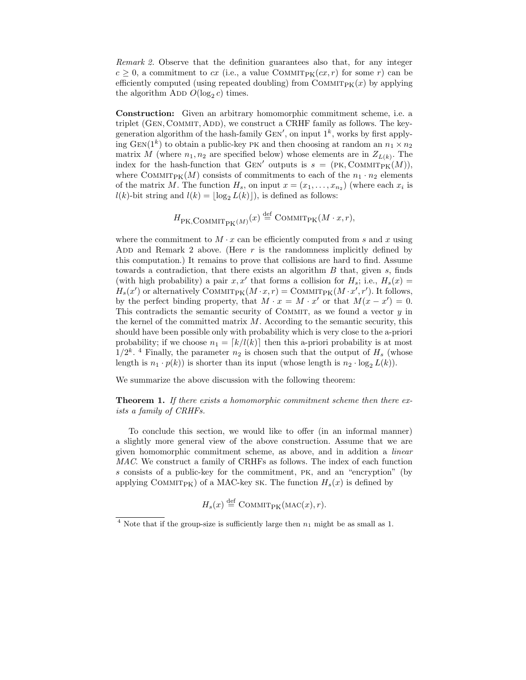Remark 2. Observe that the definition guarantees also that, for any integer  $c \geq 0$ , a commitment to cx (i.e., a value COMMIT<sub>PK</sub> $(cx, r)$  for some r) can be efficiently computed (using repeated doubling) from COMMIT<sub>PK</sub> $(x)$  by applying the algorithm ADD  $O(\log_2 c)$  times.

Construction: Given an arbitrary homomorphic commitment scheme, i.e. a triplet  $(GEN, COMMIT, ADD)$ , we construct a CRHF family as follows. The keygeneration algorithm of the hash-family  $GEN'$ , on input  $1^k$ , works by first applying GEN(1<sup>k</sup>) to obtain a public-key PK and then choosing at random an  $n_1 \times n_2$ matrix M (where  $n_1, n_2$  are specified below) whose elements are in  $Z_{L(k)}$ . The index for the hash-function that GEN' outputs is  $s = (PK, \text{COMMITPK}(M)),$ where COMMIT<sub>PK</sub>(M) consists of commitments to each of the  $n_1 \cdot n_2$  elements of the matrix M. The function  $H_s$ , on input  $x = (x_1, \ldots, x_{n_2})$  (where each  $x_i$  is  $l(k)$ -bit string and  $l(k) = \lfloor \log_2 L(k) \rfloor$ , is defined as follows:

$$
H_{\rm PK, COMMIT_{PK}(M)}(x) \stackrel{\text{def}}{=} \text{COMMIT}_{\rm PK}(M \cdot x, r),
$$

where the commitment to  $M \cdot x$  can be efficiently computed from s and x using ADD and Remark 2 above. (Here  $r$  is the randomness implicitly defined by this computation.) It remains to prove that collisions are hard to find. Assume towards a contradiction, that there exists an algorithm  $B$  that, given  $s$ , finds (with high probability) a pair x, x' that forms a collision for  $H_s$ ; i.e.,  $H_s(x)$  =  $H_s(x')$  or alternatively COMMIT<sub>PK</sub> $(M \cdot x, r) = \text{COMMIT}_{\text{PK}}(M \cdot x', r')$ . It follows, by the perfect binding property, that  $M \cdot x = M \cdot x'$  or that  $M(x - x') = 0$ . This contradicts the semantic security of COMMIT, as we found a vector  $y$  in the kernel of the committed matrix  $M$ . According to the semantic security, this should have been possible only with probability which is very close to the a-priori probability; if we choose  $n_1 = \lfloor k/l(k) \rfloor$  then this a-priori probability is at most  $1/2^k$ .<sup>4</sup> Finally, the parameter  $n_2$  is chosen such that the output of  $H_s$  (whose length is  $n_1 \cdot p(k)$  is shorter than its input (whose length is  $n_2 \cdot \log_2 L(k)$ ).

We summarize the above discussion with the following theorem:

Theorem 1. If there exists a homomorphic commitment scheme then there exists a family of CRHFs.

To conclude this section, we would like to offer (in an informal manner) a slightly more general view of the above construction. Assume that we are given homomorphic commitment scheme, as above, and in addition a linear MAC. We construct a family of CRHFs as follows. The index of each function s consists of a public-key for the commitment, pk, and an "encryption" (by applying COMMIT<sub>PK</sub>) of a MAC-key sk. The function  $H_s(x)$  is defined by

$$
H_s(x) \stackrel{\text{def}}{=} \text{COMMIT}_{\text{PK}}(\text{MAC}(x), r).
$$

<sup>&</sup>lt;sup>4</sup> Note that if the group-size is sufficiently large then  $n_1$  might be as small as 1.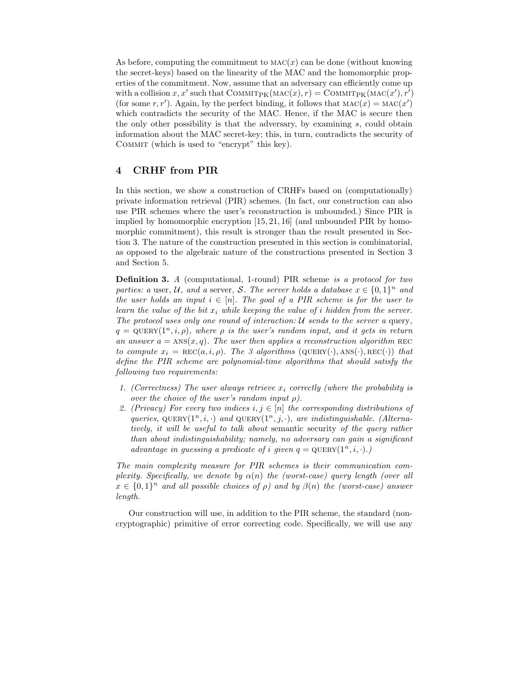As before, computing the commitment to  $MAC(x)$  can be done (without knowing the secret-keys) based on the linearity of the MAC and the homomorphic properties of the commitment. Now, assume that an adversary can efficiently come up with a collision  $x, x'$  such that  $\text{Comm}_{PK}(\text{MAC}(x), r) = \text{Comm}_{PK}(\text{MAC}(x'), r')$ (for some r, r'). Again, by the perfect binding, it follows that  $MAC(x) = MAC(x')$ which contradicts the security of the MAC. Hence, if the MAC is secure then the only other possibility is that the adversary, by examining s, could obtain information about the MAC secret-key; this, in turn, contradicts the security of Commit (which is used to "encrypt" this key).

### 4 CRHF from PIR

In this section, we show a construction of CRHFs based on (computationally) private information retrieval (PIR) schemes. (In fact, our construction can also use PIR schemes where the user's reconstruction is unbounded.) Since PIR is implied by homomorphic encryption [15, 21, 16] (and unbounded PIR by homomorphic commitment), this result is stronger than the result presented in Section 3. The nature of the construction presented in this section is combinatorial, as opposed to the algebraic nature of the constructions presented in Section 3 and Section 5.

Definition 3. A (computational, 1-round) PIR scheme is a protocol for two parties: a user, U, and a server, S. The server holds a database  $x \in \{0,1\}^n$  and the user holds an input  $i \in [n]$ . The goal of a PIR scheme is for the user to learn the value of the bit  $x_i$  while keeping the value of i hidden from the server. The protocol uses only one round of interaction:  $U$  sends to the server a query,  $q = \text{QUERY}(1^n, i, \rho)$ , where  $\rho$  is the user's random input, and it gets in return an answer  $a = \text{ANS}(x, q)$ . The user then applies a reconstruction algorithm REC to compute  $x_i = \text{REC}(a,i,\rho)$ . The 3 algorithms (QUERY(·), ANS(·), REC(·)) that define the PIR scheme are polynomial-time algorithms that should satisfy the following two requirements:

- 1. (Correctness) The user always retrieve  $x_i$  correctly (where the probability is over the choice of the user's random input  $\rho$ ).
- 2. (Privacy) For every two indices  $i, j \in [n]$  the corresponding distributions of queries, QUERY $(1^n, i, \cdot)$  and QUERY $(1^n, j, \cdot)$ , are indistinguishable. (Alternatively, it will be useful to talk about semantic security of the query rather than about indistinguishability; namely, no adversary can gain a significant advantage in guessing a predicate of i given  $q = \text{QUERY}(1^n, i, \cdot)$ .

The main complexity measure for PIR schemes is their communication complexity. Specifically, we denote by  $\alpha(n)$  the (worst-case) query length (over all  $x \in \{0,1\}^n$  and all possible choices of  $\rho$ ) and by  $\beta(n)$  the (worst-case) answer length.

Our construction will use, in addition to the PIR scheme, the standard (noncryptographic) primitive of error correcting code. Specifically, we will use any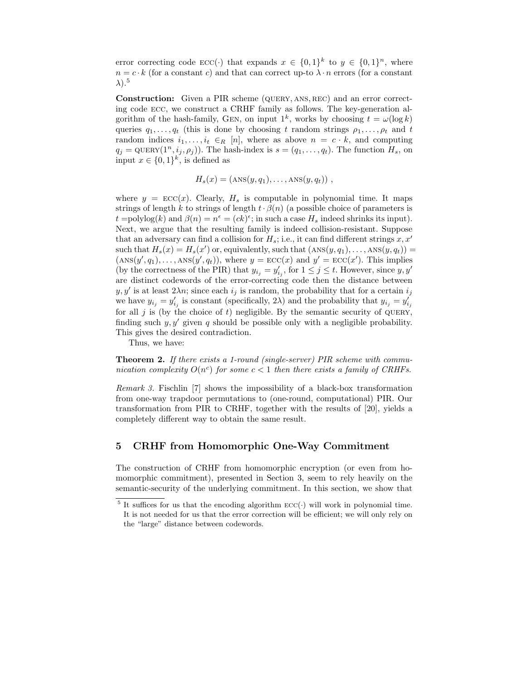error correcting code  $\text{ECC}(\cdot)$  that expands  $x \in \{0,1\}^k$  to  $y \in \{0,1\}^n$ , where  $n = c \cdot k$  (for a constant c) and that can correct up-to  $\lambda \cdot n$  errors (for a constant  $\lambda$ ).<sup>5</sup>

Construction: Given a PIR scheme (QUERY, ANS, REC) and an error correcting code ecc, we construct a CRHF family as follows. The key-generation algorithm of the hash-family, GEN, on input  $1^k$ , works by choosing  $t = \omega(\log k)$ queries  $q_1, \ldots, q_t$  (this is done by choosing t random strings  $\rho_1, \ldots, \rho_t$  and t random indices  $i_1, \ldots, i_t \in_R [n]$ , where as above  $n = c \cdot k$ , and computing  $q_j = \text{QUERY}(1^n, i_j, \rho_j)).$  The hash-index is  $s = (q_1, \ldots, q_t)$ . The function  $H_s$ , on input  $x \in \{0,1\}^k$ , is defined as

 $H_s(x) = (ANS(y, q_1), \ldots, ANS(y, q_t))$ ,

where  $y = \text{ECC}(x)$ . Clearly,  $H_s$  is computable in polynomial time. It maps strings of length k to strings of length  $t \cdot \beta(n)$  (a possible choice of parameters is  $t = \text{polylog}(k)$  and  $\beta(n) = n^{\epsilon} = (ck)^{\epsilon}$ ; in such a case  $H_s$  indeed shrinks its input). Next, we argue that the resulting family is indeed collision-resistant. Suppose that an adversary can find a collision for  $H_s$ ; i.e., it can find different strings  $x, x'$ such that  $H_s(x) = H_s(x')$  or, equivalently, such that  $(ANS(y, q_1), \ldots, ANS(y, q_t)) =$  $(\text{ANS}(y', q_1), \ldots, \text{ANS}(y', q_t)),$  where  $y = \text{ECC}(x)$  and  $y' = \text{ECC}(x')$ . This implies (by the correctness of the PIR) that  $y_{i_j} = y'_{i_j}$ , for  $1 \leq j \leq t$ . However, since  $y, y'$ are distinct codewords of the error-correcting code then the distance between  $y, y'$  is at least  $2\lambda n$ ; since each  $i_j$  is random, the probability that for a certain  $i_j$ we have  $y_{i_j} = y'_{i_j}$  is constant (specifically, 2 $\lambda$ ) and the probability that  $y_{i_j} = y'_{i_j}$ for all  $j$  is (by the choice of  $t$ ) negligible. By the semantic security of QUERY, finding such  $y, y'$  given q should be possible only with a negligible probability. This gives the desired contradiction.

Thus, we have:

**Theorem 2.** If there exists a 1-round (single-server) PIR scheme with communication complexity  $O(n^c)$  for some  $c < 1$  then there exists a family of CRHFs.

Remark 3. Fischlin [7] shows the impossibility of a black-box transformation from one-way trapdoor permutations to (one-round, computational) PIR. Our transformation from PIR to CRHF, together with the results of [20], yields a completely different way to obtain the same result.

#### 5 CRHF from Homomorphic One-Way Commitment

The construction of CRHF from homomorphic encryption (or even from homomorphic commitment), presented in Section 3, seem to rely heavily on the semantic-security of the underlying commitment. In this section, we show that

<sup>&</sup>lt;sup>5</sup> It suffices for us that the encoding algorithm  $\text{ECC}(\cdot)$  will work in polynomial time. It is not needed for us that the error correction will be efficient; we will only rely on the "large" distance between codewords.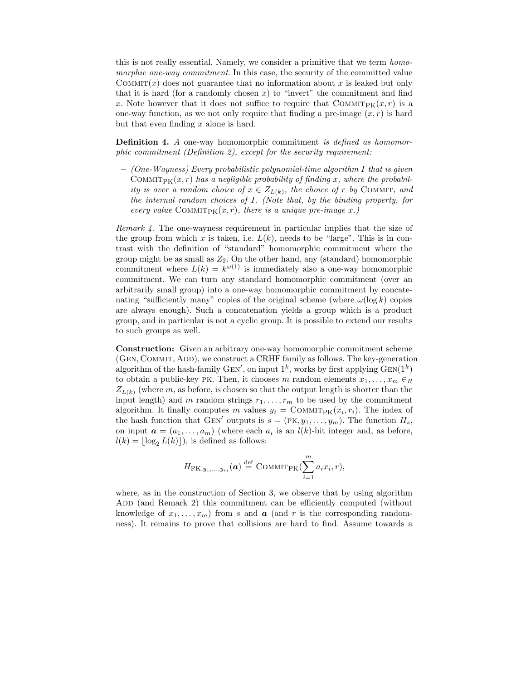this is not really essential. Namely, we consider a primitive that we term homomorphic one-way commitment. In this case, the security of the committed value COMMIT(x) does not guarantee that no information about x is leaked but only that it is hard (for a randomly chosen  $x$ ) to "invert" the commitment and find x. Note however that it does not suffice to require that  $\text{Comm}_{\mathbb{F}}(x,r)$  is a one-way function, as we not only require that finding a pre-image  $(x, r)$  is hard but that even finding  $x$  alone is hard.

**Definition 4.** A one-way homomorphic commitment is defined as homomorphic commitment (Definition 2), except for the security requirement:

 $-$  (One-Wayness) Every probabilistic polynomial-time algorithm I that is given COMMITPK $(x, r)$  has a negligible probability of finding x, where the probability is over a random choice of  $x \in Z_{L(k)}$ , the choice of r by COMMIT, and the internal random choices of I. (Note that, by the binding property, for every value COMMIT<sub>PK</sub> $(x, r)$ , there is a unique pre-image x.)

Remark 4. The one-wayness requirement in particular implies that the size of the group from which x is taken, i.e.  $L(k)$ , needs to be "large". This is in contrast with the definition of "standard" homomorphic commitment where the group might be as small as  $Z_2$ . On the other hand, any (standard) homomorphic commitment where  $L(k) = k^{\omega(1)}$  is immediately also a one-way homomorphic commitment. We can turn any standard homomorphic commitment (over an arbitrarily small group) into a one-way homomorphic commitment by concatenating "sufficiently many" copies of the original scheme (where  $\omega(\log k)$  copies are always enough). Such a concatenation yields a group which is a product group, and in particular is not a cyclic group. It is possible to extend our results to such groups as well.

Construction: Given an arbitrary one-way homomorphic commitment scheme (GEN, COMMIT, ADD), we construct a CRHF family as follows. The key-generation algorithm of the hash-family GEN', on input  $1^k$ , works by first applying  $GEN(1^k)$ to obtain a public-key PK. Then, it chooses m random elements  $x_1, \ldots, x_m \in_R$  $Z_{L(k)}$  (where m, as before, is chosen so that the output length is shorter than the input length) and m random strings  $r_1, \ldots, r_m$  to be used by the commitment algorithm. It finally computes m values  $y_i = \text{Comm}_{\text{PK}}(x_i, r_i)$ . The index of the hash function that GEN' outputs is  $s = (PK, y_1, \ldots, y_m)$ . The function  $H_s$ , on input  $\mathbf{a} = (a_1, \ldots, a_m)$  (where each  $a_i$  is an  $l(k)$ -bit integer and, as before,  $l(k) = \log_2 L(k)$ , is defined as follows:

$$
H_{\mathrm{PK},y_1,\ldots,y_m}(\boldsymbol{a}) \stackrel{\text{def}}{=} \mathrm{COMMIT}_{\mathrm{PK}}(\sum_{i=1}^m a_i x_i, r),
$$

where, as in the construction of Section 3, we observe that by using algorithm ADD (and Remark 2) this commitment can be efficiently computed (without knowledge of  $x_1, \ldots, x_m$ ) from s and **a** (and r is the corresponding randomness). It remains to prove that collisions are hard to find. Assume towards a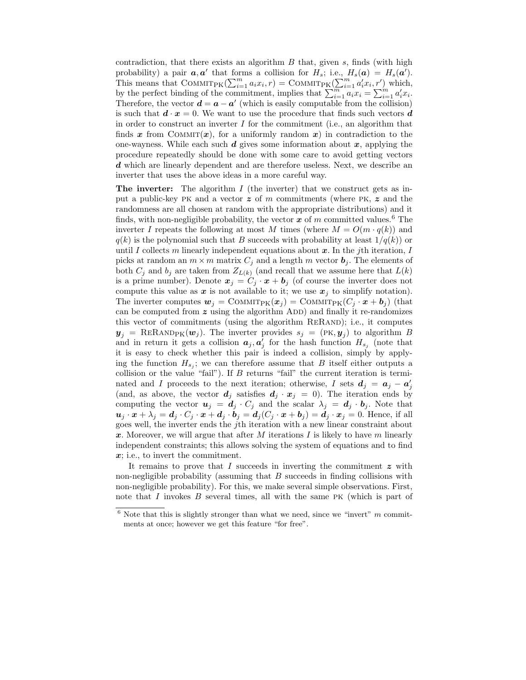contradiction, that there exists an algorithm  $B$  that, given  $s$ , finds (with high probability) a pair  $a, a'$  that forms a collision for  $H_s$ ; i.e.,  $H_s(a) = H_s(a')$ . This means that COMMIT<sub>PK</sub> $(\sum_{i=1}^m a_i x_i, r) = \text{COMMIT}_{\text{PK}}(\sum_{i=1}^m a'_i x_i, r')$  which, by the perfect binding of the commitment, implies that  $\sum_{i=1}^{m} a_i x_i = \sum_{i=1}^{m} a'_i x_i$ . Therefore, the vector  $\mathbf{d} = \mathbf{a} - \mathbf{a}'$  (which is easily computable from the collision) is such that  $\mathbf{d} \cdot \mathbf{x} = 0$ . We want to use the procedure that finds such vectors  $\mathbf{d}$ in order to construct an inverter  $I$  for the commitment (i.e., an algorithm that finds x from COMMIT $(x)$ , for a uniformly random x) in contradiction to the one-wayness. While each such  $d$  gives some information about  $x$ , applying the procedure repeatedly should be done with some care to avoid getting vectors d which are linearly dependent and are therefore useless. Next, we describe an inverter that uses the above ideas in a more careful way.

The inverter: The algorithm  $I$  (the inverter) that we construct gets as input a public-key PK and a vector  $z$  of m commitments (where PK,  $z$  and the randomness are all chosen at random with the appropriate distributions) and it finds, with non-negligible probability, the vector  $x$  of m committed values.<sup>6</sup> The inverter I repeats the following at most M times (where  $M = O(m \cdot q(k))$  and  $q(k)$  is the polynomial such that B succeeds with probability at least  $1/q(k)$  or until I collects m linearly independent equations about  $x$ . In the jth iteration, I picks at random an  $m \times m$  matrix  $C_j$  and a length m vector  $\mathbf{b}_j$ . The elements of both  $C_j$  and  $b_j$  are taken from  $Z_{L(k)}$  (and recall that we assume here that  $L(k)$ is a prime number). Denote  $x_j = C_j \cdot x + b_j$  (of course the inverter does not compute this value as  $x$  is not available to it; we use  $x_j$  to simplify notation). The inverter computes  $w_j = \text{Comm}_{\text{PK}}(x_j) = \text{Comm}_{\text{PK}}(C_j \cdot x + b_j)$  (that can be computed from  $z$  using the algorithm ADD) and finally it re-randomizes this vector of commitments (using the algorithm ReRand); i.e., it computes  $y_j = \text{ReR} \text{AND}_{\text{PK}}(\boldsymbol{w}_j)$ . The inverter provides  $s_j = (\text{PK}, \boldsymbol{y}_j)$  to algorithm B and in return it gets a collision  $a_j, a'_j$  for the hash function  $H_{s_j}$  (note that it is easy to check whether this pair is indeed a collision, simply by applying the function  $H_{s_j}$ ; we can therefore assume that B itself either outputs a collision or the value "fail"). If  $B$  returns "fail" the current iteration is terminated and I proceeds to the next iteration; otherwise, I sets  $d_j = a_j - a'_j$ (and, as above, the vector  $d_j$  satisfies  $d_j \cdot x_j = 0$ ). The iteration ends by computing the vector  $u_j = d_j \cdot C_j$  and the scalar  $\lambda_j = d_j \cdot b_j$ . Note that  $u_j \cdot x + \lambda_j = d_j \cdot C_j \cdot x + d_j \cdot b_j = d_j (C_j \cdot x + b_j) = d_j \cdot x_j = 0.$  Hence, if all goes well, the inverter ends the jth iteration with a new linear constraint about x. Moreover, we will argue that after M iterations I is likely to have m linearly independent constraints; this allows solving the system of equations and to find x; i.e., to invert the commitment.

It remains to prove that  $I$  succeeds in inverting the commitment  $z$  with non-negligible probability (assuming that  $B$  succeeds in finding collisions with non-negligible probability). For this, we make several simple observations. First, note that I invokes  $B$  several times, all with the same PK (which is part of

 $6$  Note that this is slightly stronger than what we need, since we "invert"  $m$  commitments at once; however we get this feature "for free".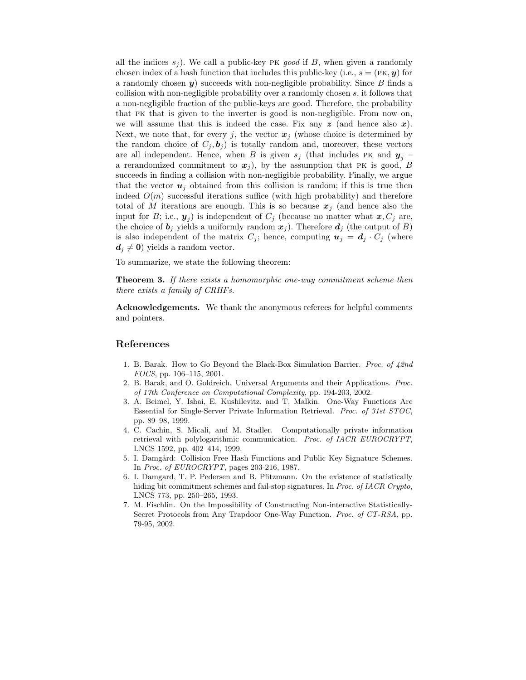all the indices  $s_i$ ). We call a public-key PK good if B, when given a randomly chosen index of a hash function that includes this public-key (i.e.,  $s = (PK, y)$  for a randomly chosen  $y$ ) succeeds with non-negligible probability. Since  $B$  finds a collision with non-negligible probability over a randomly chosen s, it follows that a non-negligible fraction of the public-keys are good. Therefore, the probability that pk that is given to the inverter is good is non-negligible. From now on, we will assume that this is indeed the case. Fix any  $z$  (and hence also x). Next, we note that, for every j, the vector  $x_j$  (whose choice is determined by the random choice of  $C_j, b_j$  is totally random and, moreover, these vectors are all independent. Hence, when B is given  $s_j$  (that includes PK and  $y_j$  – a rerandomized commitment to  $x_j$ ), by the assumption that PK is good, B succeeds in finding a collision with non-negligible probability. Finally, we argue that the vector  $u_i$  obtained from this collision is random; if this is true then indeed  $O(m)$  successful iterations suffice (with high probability) and therefore total of M iterations are enough. This is so because  $x_i$  (and hence also the input for B; i.e.,  $y_j$ ) is independent of  $C_j$  (because no matter what  $x, C_j$  are, the choice of  $\mathbf{b}_j$  yields a uniformly random  $\mathbf{x}_j$ ). Therefore  $\mathbf{d}_j$  (the output of B) is also independent of the matrix  $C_j$ ; hence, computing  $u_j = d_j \cdot C_j$  (where  $d_j \neq 0$ ) yields a random vector.

To summarize, we state the following theorem:

**Theorem 3.** If there exists a homomorphic one-way commitment scheme then there exists a family of CRHFs.

Acknowledgements. We thank the anonymous referees for helpful comments and pointers.

#### References

- 1. B. Barak. How to Go Beyond the Black-Box Simulation Barrier. *Proc. of*  $42nd$ FOCS, pp. 106–115, 2001.
- 2. B. Barak, and O. Goldreich. Universal Arguments and their Applications. Proc. of 17th Conference on Computational Complexity, pp. 194-203, 2002.
- 3. A. Beimel, Y. Ishai, E. Kushilevitz, and T. Malkin. One-Way Functions Are Essential for Single-Server Private Information Retrieval. Proc. of 31st STOC, pp. 89–98, 1999.
- 4. C. Cachin, S. Micali, and M. Stadler. Computationally private information retrieval with polylogarithmic communication. Proc. of IACR EUROCRYPT, LNCS 1592, pp. 402–414, 1999.
- 5. I. Damgård: Collision Free Hash Functions and Public Key Signature Schemes. In Proc. of EUROCRYPT, pages 203-216, 1987.
- 6. I. Damgard, T. P. Pedersen and B. Pfitzmann. On the existence of statistically hiding bit commitment schemes and fail-stop signatures. In Proc. of IACR Crypto, LNCS 773, pp. 250–265, 1993.
- 7. M. Fischlin. On the Impossibility of Constructing Non-interactive Statistically-Secret Protocols from Any Trapdoor One-Way Function. Proc. of CT-RSA, pp. 79-95, 2002.